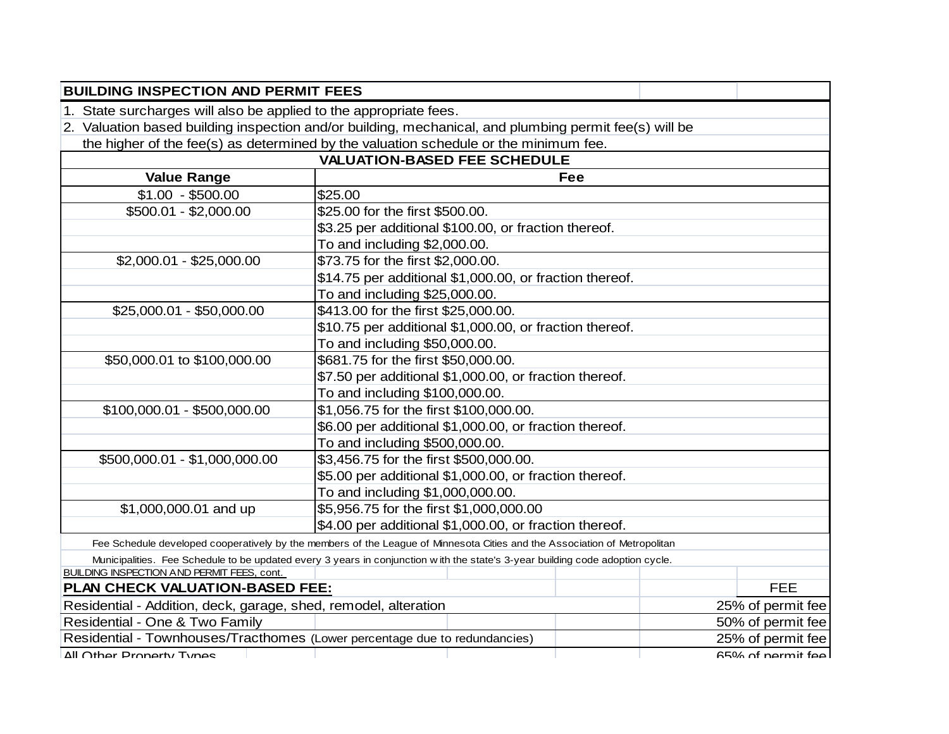| <b>BUILDING INSPECTION AND PERMIT FEES</b>                                 |                                                                                                                               |                   |  |  |  |  |
|----------------------------------------------------------------------------|-------------------------------------------------------------------------------------------------------------------------------|-------------------|--|--|--|--|
| 1. State surcharges will also be applied to the appropriate fees.          |                                                                                                                               |                   |  |  |  |  |
|                                                                            | 2. Valuation based building inspection and/or building, mechanical, and plumbing permit fee(s) will be                        |                   |  |  |  |  |
|                                                                            | the higher of the fee(s) as determined by the valuation schedule or the minimum fee.                                          |                   |  |  |  |  |
|                                                                            | <b>VALUATION-BASED FEE SCHEDULE</b>                                                                                           |                   |  |  |  |  |
| <b>Value Range</b>                                                         | <b>Fee</b>                                                                                                                    |                   |  |  |  |  |
| $$1.00 - $500.00$                                                          | \$25.00                                                                                                                       |                   |  |  |  |  |
| \$500.01 - \$2,000.00                                                      | \$25.00 for the first \$500.00.                                                                                               |                   |  |  |  |  |
|                                                                            | \$3.25 per additional \$100.00, or fraction thereof.                                                                          |                   |  |  |  |  |
|                                                                            | To and including \$2,000.00.                                                                                                  |                   |  |  |  |  |
| $$2,000.01 - $25,000.00$                                                   | \$73.75 for the first \$2,000.00.                                                                                             |                   |  |  |  |  |
|                                                                            | \$14.75 per additional \$1,000.00, or fraction thereof.                                                                       |                   |  |  |  |  |
|                                                                            | To and including \$25,000.00.                                                                                                 |                   |  |  |  |  |
| \$25,000.01 - \$50,000.00                                                  | \$413.00 for the first \$25,000.00.                                                                                           |                   |  |  |  |  |
|                                                                            | \$10.75 per additional \$1,000.00, or fraction thereof.                                                                       |                   |  |  |  |  |
|                                                                            | To and including \$50,000.00.                                                                                                 |                   |  |  |  |  |
| \$681.75 for the first \$50,000.00.<br>\$50,000.01 to \$100,000.00         |                                                                                                                               |                   |  |  |  |  |
|                                                                            | \$7.50 per additional \$1,000.00, or fraction thereof.                                                                        |                   |  |  |  |  |
|                                                                            | To and including \$100,000.00.                                                                                                |                   |  |  |  |  |
| \$100,000.01 - \$500,000.00                                                | \$1,056.75 for the first \$100,000.00.                                                                                        |                   |  |  |  |  |
|                                                                            | \$6.00 per additional \$1,000.00, or fraction thereof.                                                                        |                   |  |  |  |  |
|                                                                            | To and including \$500,000.00.                                                                                                |                   |  |  |  |  |
| \$500,000.01 - \$1,000,000.00                                              | \$3,456.75 for the first \$500,000.00.                                                                                        |                   |  |  |  |  |
|                                                                            | \$5.00 per additional \$1,000.00, or fraction thereof.                                                                        |                   |  |  |  |  |
|                                                                            | To and including \$1,000,000.00.                                                                                              |                   |  |  |  |  |
| \$1,000,000.01 and up                                                      | \$5,956.75 for the first \$1,000,000.00                                                                                       |                   |  |  |  |  |
|                                                                            | \$4.00 per additional \$1,000.00, or fraction thereof.                                                                        |                   |  |  |  |  |
|                                                                            | Fee Schedule developed cooperatively by the members of the League of Minnesota Cities and the Association of Metropolitan     |                   |  |  |  |  |
|                                                                            | Municipalities. Fee Schedule to be updated every 3 years in conjunction with the state's 3-year building code adoption cycle. |                   |  |  |  |  |
| <b>BUILDING INSPECTION AND PERMIT FEES, cont.</b>                          |                                                                                                                               |                   |  |  |  |  |
| PLAN CHECK VALUATION-BASED FEE:                                            |                                                                                                                               | <b>FEE</b>        |  |  |  |  |
| Residential - Addition, deck, garage, shed, remodel, alteration            |                                                                                                                               | 25% of permit fee |  |  |  |  |
| Residential - One & Two Family                                             |                                                                                                                               | 50% of permit fee |  |  |  |  |
| Residential - Townhouses/Tracthomes (Lower percentage due to redundancies) |                                                                                                                               | 25% of permit fee |  |  |  |  |
| All Other Property Types                                                   |                                                                                                                               | 65% of nermit fee |  |  |  |  |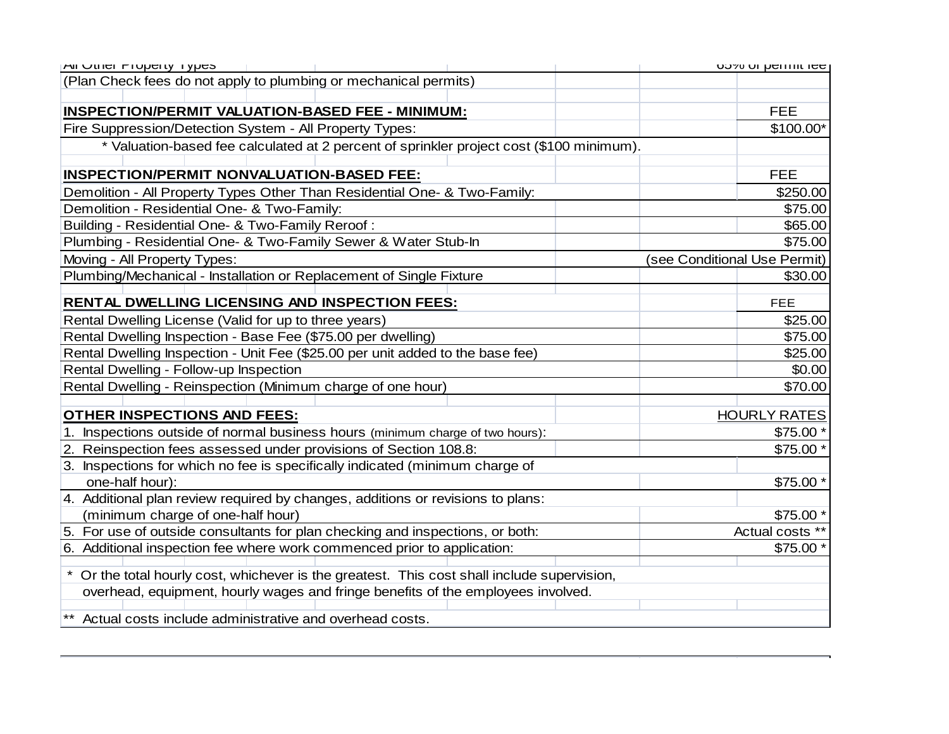| (Plan Check fees do not apply to plumbing or mechanical permits)<br>INSPECTION/PERMIT VALUATION-BASED FEE - MINIMUM:<br><b>FEE</b><br>Fire Suppression/Detection System - All Property Types:<br>* Valuation-based fee calculated at 2 percent of sprinkler project cost (\$100 minimum).<br><b>INSPECTION/PERMIT NONVALUATION-BASED FEE:</b><br><b>FEE</b><br>Demolition - All Property Types Other Than Residential One- & Two-Family:<br>\$250.00<br>Demolition - Residential One- & Two-Family:<br>\$75.00 | MI Utilet Fluperty Types                         | <b>DO YO UI DEITHIL IEE</b>  |
|----------------------------------------------------------------------------------------------------------------------------------------------------------------------------------------------------------------------------------------------------------------------------------------------------------------------------------------------------------------------------------------------------------------------------------------------------------------------------------------------------------------|--------------------------------------------------|------------------------------|
|                                                                                                                                                                                                                                                                                                                                                                                                                                                                                                                |                                                  |                              |
|                                                                                                                                                                                                                                                                                                                                                                                                                                                                                                                |                                                  |                              |
|                                                                                                                                                                                                                                                                                                                                                                                                                                                                                                                |                                                  |                              |
|                                                                                                                                                                                                                                                                                                                                                                                                                                                                                                                |                                                  | \$100.00*                    |
|                                                                                                                                                                                                                                                                                                                                                                                                                                                                                                                |                                                  |                              |
|                                                                                                                                                                                                                                                                                                                                                                                                                                                                                                                |                                                  |                              |
|                                                                                                                                                                                                                                                                                                                                                                                                                                                                                                                |                                                  |                              |
|                                                                                                                                                                                                                                                                                                                                                                                                                                                                                                                |                                                  |                              |
|                                                                                                                                                                                                                                                                                                                                                                                                                                                                                                                |                                                  |                              |
|                                                                                                                                                                                                                                                                                                                                                                                                                                                                                                                | Building - Residential One- & Two-Family Reroof: | \$65.00                      |
| Plumbing - Residential One- & Two-Family Sewer & Water Stub-In                                                                                                                                                                                                                                                                                                                                                                                                                                                 |                                                  | \$75.00                      |
| Moving - All Property Types:                                                                                                                                                                                                                                                                                                                                                                                                                                                                                   |                                                  | (see Conditional Use Permit) |
| Plumbing/Mechanical - Installation or Replacement of Single Fixture                                                                                                                                                                                                                                                                                                                                                                                                                                            |                                                  | \$30.00                      |
| <b>RENTAL DWELLING LICENSING AND INSPECTION FEES:</b><br><b>FEE</b>                                                                                                                                                                                                                                                                                                                                                                                                                                            |                                                  |                              |
| Rental Dwelling License (Valid for up to three years)                                                                                                                                                                                                                                                                                                                                                                                                                                                          |                                                  | \$25.00                      |
| Rental Dwelling Inspection - Base Fee (\$75.00 per dwelling)                                                                                                                                                                                                                                                                                                                                                                                                                                                   |                                                  | \$75.00                      |
| Rental Dwelling Inspection - Unit Fee (\$25.00 per unit added to the base fee)                                                                                                                                                                                                                                                                                                                                                                                                                                 |                                                  | \$25.00                      |
| Rental Dwelling - Follow-up Inspection                                                                                                                                                                                                                                                                                                                                                                                                                                                                         |                                                  | \$0.00                       |
| Rental Dwelling - Reinspection (Minimum charge of one hour)                                                                                                                                                                                                                                                                                                                                                                                                                                                    |                                                  | \$70.00                      |
|                                                                                                                                                                                                                                                                                                                                                                                                                                                                                                                |                                                  |                              |
| <b>OTHER INSPECTIONS AND FEES:</b>                                                                                                                                                                                                                                                                                                                                                                                                                                                                             |                                                  | <b>HOURLY RATES</b>          |
| 1. Inspections outside of normal business hours (minimum charge of two hours):                                                                                                                                                                                                                                                                                                                                                                                                                                 |                                                  | \$75.00                      |
| 2. Reinspection fees assessed under provisions of Section 108.8:                                                                                                                                                                                                                                                                                                                                                                                                                                               |                                                  | \$75.00 *                    |
| 3. Inspections for which no fee is specifically indicated (minimum charge of                                                                                                                                                                                                                                                                                                                                                                                                                                   |                                                  |                              |
| one-half hour):                                                                                                                                                                                                                                                                                                                                                                                                                                                                                                |                                                  | \$75.00 *                    |
| 4. Additional plan review required by changes, additions or revisions to plans:                                                                                                                                                                                                                                                                                                                                                                                                                                |                                                  |                              |
| (minimum charge of one-half hour)                                                                                                                                                                                                                                                                                                                                                                                                                                                                              |                                                  | \$75.00 *                    |
| 5. For use of outside consultants for plan checking and inspections, or both:<br>Actual costs **                                                                                                                                                                                                                                                                                                                                                                                                               |                                                  |                              |
| 6. Additional inspection fee where work commenced prior to application:                                                                                                                                                                                                                                                                                                                                                                                                                                        |                                                  | \$75.00 *                    |
|                                                                                                                                                                                                                                                                                                                                                                                                                                                                                                                |                                                  |                              |
| Or the total hourly cost, whichever is the greatest. This cost shall include supervision,                                                                                                                                                                                                                                                                                                                                                                                                                      |                                                  |                              |
| overhead, equipment, hourly wages and fringe benefits of the employees involved.                                                                                                                                                                                                                                                                                                                                                                                                                               |                                                  |                              |
| Actual costs include administrative and overhead costs.                                                                                                                                                                                                                                                                                                                                                                                                                                                        |                                                  |                              |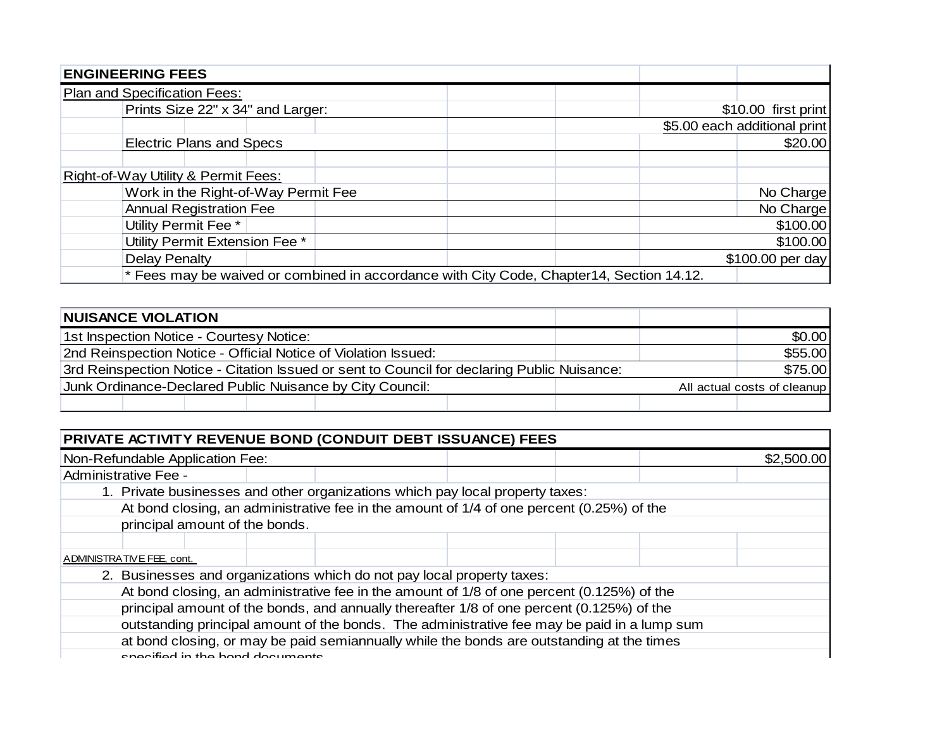| <b>ENGINEERING FEES</b>             |                                                                                          |
|-------------------------------------|------------------------------------------------------------------------------------------|
| Plan and Specification Fees:        |                                                                                          |
| Prints Size 22" x 34" and Larger:   | \$10.00 first print                                                                      |
|                                     | \$5.00 each additional print                                                             |
| <b>Electric Plans and Specs</b>     | \$20.00                                                                                  |
|                                     |                                                                                          |
| Right-of-Way Utility & Permit Fees: |                                                                                          |
| Work in the Right-of-Way Permit Fee | No Charge                                                                                |
| <b>Annual Registration Fee</b>      | No Charge                                                                                |
| Utility Permit Fee *                | \$100.00                                                                                 |
| Utility Permit Extension Fee *      | \$100.00                                                                                 |
| Delay Penalty                       | \$100.00 per day                                                                         |
|                                     | * Fees may be waived or combined in accordance with City Code, Chapter14, Section 14.12. |

| <b>NUISANCE VIOLATION</b>                                                                   |  |  |        |  |
|---------------------------------------------------------------------------------------------|--|--|--------|--|
| 1st Inspection Notice - Courtesy Notice:                                                    |  |  | \$0.00 |  |
| 2nd Reinspection Notice - Official Notice of Violation Issued:                              |  |  |        |  |
| 3rd Reinspection Notice - Citation Issued or sent to Council for declaring Public Nuisance: |  |  |        |  |
| Junk Ordinance-Declared Public Nuisance by City Council:<br>All actual costs of cleanup     |  |  |        |  |
|                                                                                             |  |  |        |  |

| PRIVATE ACTIVITY REVENUE BOND (CONDUIT DEBT ISSUANCE) FEES                                |  |                                                                                             |  |  |  |            |
|-------------------------------------------------------------------------------------------|--|---------------------------------------------------------------------------------------------|--|--|--|------------|
| Non-Refundable Application Fee:                                                           |  |                                                                                             |  |  |  | \$2,500.00 |
| Administrative Fee -                                                                      |  |                                                                                             |  |  |  |            |
| 1. Private businesses and other organizations which pay local property taxes:             |  |                                                                                             |  |  |  |            |
|                                                                                           |  | At bond closing, an administrative fee in the amount of 1/4 of one percent (0.25%) of the   |  |  |  |            |
| principal amount of the bonds.                                                            |  |                                                                                             |  |  |  |            |
|                                                                                           |  |                                                                                             |  |  |  |            |
| ADMINISTRATIVE FEE, cont.                                                                 |  |                                                                                             |  |  |  |            |
| 2. Businesses and organizations which do not pay local property taxes:                    |  |                                                                                             |  |  |  |            |
|                                                                                           |  | At bond closing, an administrative fee in the amount of 1/8 of one percent (0.125%) of the  |  |  |  |            |
|                                                                                           |  | principal amount of the bonds, and annually thereafter 1/8 of one percent (0.125%) of the   |  |  |  |            |
|                                                                                           |  | outstanding principal amount of the bonds. The administrative fee may be paid in a lump sum |  |  |  |            |
| at bond closing, or may be paid semiannually while the bonds are outstanding at the times |  |                                                                                             |  |  |  |            |
| concified in the bond decuments                                                           |  |                                                                                             |  |  |  |            |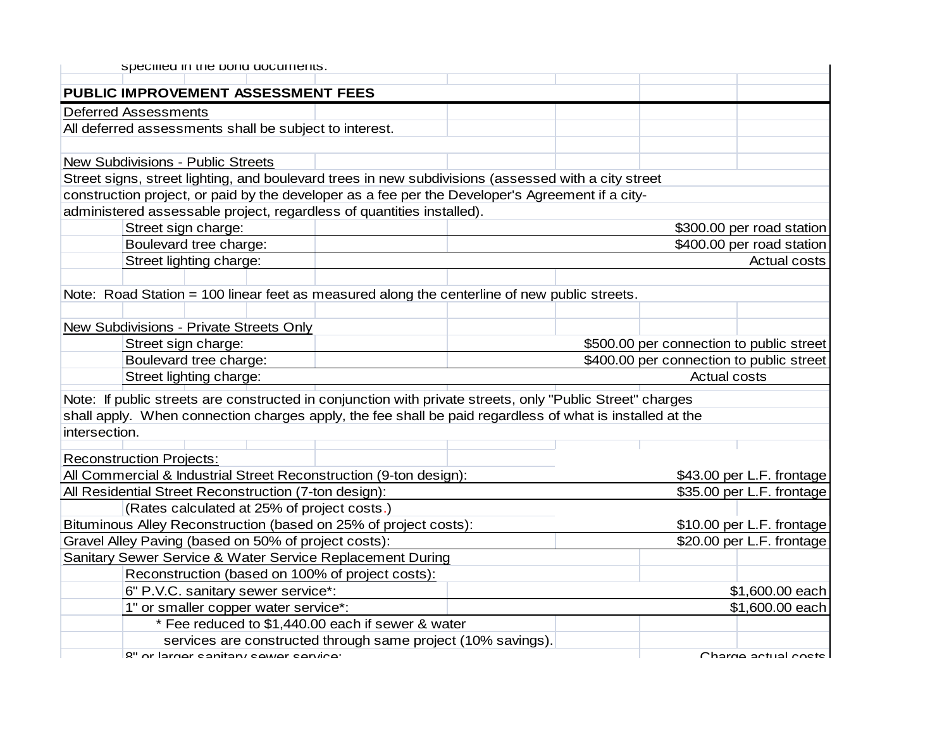|               | specified in the bond documents.                                                                          |  |  |  |                                          |                           |  |  |
|---------------|-----------------------------------------------------------------------------------------------------------|--|--|--|------------------------------------------|---------------------------|--|--|
|               | PUBLIC IMPROVEMENT ASSESSMENT FEES                                                                        |  |  |  |                                          |                           |  |  |
|               | <b>Deferred Assessments</b>                                                                               |  |  |  |                                          |                           |  |  |
|               | All deferred assessments shall be subject to interest.                                                    |  |  |  |                                          |                           |  |  |
|               |                                                                                                           |  |  |  |                                          |                           |  |  |
|               | New Subdivisions - Public Streets                                                                         |  |  |  |                                          |                           |  |  |
|               | Street signs, street lighting, and boulevard trees in new subdivisions (assessed with a city street       |  |  |  |                                          |                           |  |  |
|               | construction project, or paid by the developer as a fee per the Developer's Agreement if a city-          |  |  |  |                                          |                           |  |  |
|               | administered assessable project, regardless of quantities installed).                                     |  |  |  |                                          |                           |  |  |
|               | Street sign charge:                                                                                       |  |  |  |                                          | \$300.00 per road station |  |  |
|               | Boulevard tree charge:                                                                                    |  |  |  |                                          | \$400.00 per road station |  |  |
|               | Street lighting charge:                                                                                   |  |  |  |                                          | <b>Actual costs</b>       |  |  |
|               |                                                                                                           |  |  |  |                                          |                           |  |  |
|               | Note: Road Station = 100 linear feet as measured along the centerline of new public streets.              |  |  |  |                                          |                           |  |  |
|               |                                                                                                           |  |  |  |                                          |                           |  |  |
|               | New Subdivisions - Private Streets Only                                                                   |  |  |  |                                          |                           |  |  |
|               | Street sign charge:                                                                                       |  |  |  | \$500.00 per connection to public street |                           |  |  |
|               | Boulevard tree charge:                                                                                    |  |  |  | \$400.00 per connection to public street |                           |  |  |
|               | Street lighting charge:                                                                                   |  |  |  | <b>Actual costs</b>                      |                           |  |  |
|               | Note: If public streets are constructed in conjunction with private streets, only "Public Street" charges |  |  |  |                                          |                           |  |  |
|               | shall apply. When connection charges apply, the fee shall be paid regardless of what is installed at the  |  |  |  |                                          |                           |  |  |
| intersection. |                                                                                                           |  |  |  |                                          |                           |  |  |
|               |                                                                                                           |  |  |  |                                          |                           |  |  |
|               | <b>Reconstruction Projects:</b>                                                                           |  |  |  |                                          |                           |  |  |
|               | All Commercial & Industrial Street Reconstruction (9-ton design):                                         |  |  |  |                                          | \$43.00 per L.F. frontage |  |  |
|               | All Residential Street Reconstruction (7-ton design):                                                     |  |  |  |                                          | \$35.00 per L.F. frontage |  |  |
|               | (Rates calculated at 25% of project costs.)                                                               |  |  |  |                                          |                           |  |  |
|               | Bituminous Alley Reconstruction (based on 25% of project costs):                                          |  |  |  |                                          | \$10.00 per L.F. frontage |  |  |
|               | Gravel Alley Paving (based on 50% of project costs):                                                      |  |  |  |                                          | \$20.00 per L.F. frontage |  |  |
|               | Sanitary Sewer Service & Water Service Replacement During                                                 |  |  |  |                                          |                           |  |  |
|               | Reconstruction (based on 100% of project costs):                                                          |  |  |  |                                          |                           |  |  |
|               | 6" P.V.C. sanitary sewer service*:                                                                        |  |  |  |                                          | \$1,600.00 each           |  |  |
|               | 1" or smaller copper water service*:                                                                      |  |  |  |                                          | \$1,600.00 each           |  |  |
|               | * Fee reduced to \$1,440.00 each if sewer & water                                                         |  |  |  |                                          |                           |  |  |
|               | services are constructed through same project (10% savings).                                              |  |  |  |                                          |                           |  |  |
|               | 8" or larger conitory couver convice                                                                      |  |  |  |                                          | Charna actual coete       |  |  |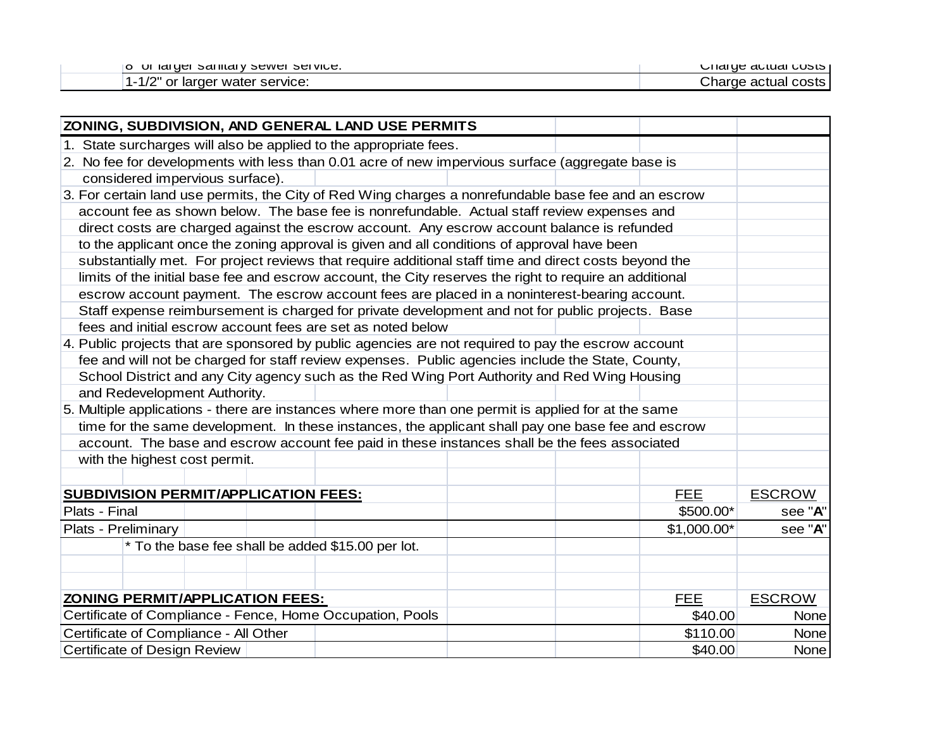| SEI VICE.<br><b>Sanitaly Sewer</b><br><b>UI latuer</b>               | <b>COSIS</b><br>sharu <del>c</del> actuari |
|----------------------------------------------------------------------|--------------------------------------------|
| ייר <i>יו</i><br>service:<br>. Iarger water<br>or<br>$1/\mathcal{L}$ | costs.<br>harde ت<br>ae actual             |

| ZONING, SUBDIVISION, AND GENERAL LAND USE PERMITS                                                       |             |               |
|---------------------------------------------------------------------------------------------------------|-------------|---------------|
| 1. State surcharges will also be applied to the appropriate fees.                                       |             |               |
| 2. No fee for developments with less than 0.01 acre of new impervious surface (aggregate base is        |             |               |
| considered impervious surface).                                                                         |             |               |
| 3. For certain land use permits, the City of Red Wing charges a nonrefundable base fee and an escrow    |             |               |
| account fee as shown below. The base fee is nonrefundable. Actual staff review expenses and             |             |               |
| direct costs are charged against the escrow account. Any escrow account balance is refunded             |             |               |
| to the applicant once the zoning approval is given and all conditions of approval have been             |             |               |
| substantially met. For project reviews that require additional staff time and direct costs beyond the   |             |               |
| limits of the initial base fee and escrow account, the City reserves the right to require an additional |             |               |
| escrow account payment. The escrow account fees are placed in a noninterest-bearing account.            |             |               |
| Staff expense reimbursement is charged for private development and not for public projects. Base        |             |               |
| fees and initial escrow account fees are set as noted below                                             |             |               |
| 4. Public projects that are sponsored by public agencies are not required to pay the escrow account     |             |               |
| fee and will not be charged for staff review expenses. Public agencies include the State, County,       |             |               |
| School District and any City agency such as the Red Wing Port Authority and Red Wing Housing            |             |               |
| and Redevelopment Authority.                                                                            |             |               |
| 5. Multiple applications - there are instances where more than one permit is applied for at the same    |             |               |
| time for the same development. In these instances, the applicant shall pay one base fee and escrow      |             |               |
| account. The base and escrow account fee paid in these instances shall be the fees associated           |             |               |
| with the highest cost permit.                                                                           |             |               |
|                                                                                                         |             |               |
| <b>SUBDIVISION PERMIT/APPLICATION FEES:</b>                                                             | <b>FEE</b>  | <b>ESCROW</b> |
| Plats - Final                                                                                           | \$500.00*   | see "A"       |
| Plats - Preliminary                                                                                     | \$1,000.00* | see "A"       |
| * To the base fee shall be added \$15.00 per lot.                                                       |             |               |
|                                                                                                         |             |               |
|                                                                                                         |             |               |
| <b>ZONING PERMIT/APPLICATION FEES:</b>                                                                  | <b>FEE</b>  | <b>ESCROW</b> |
| Certificate of Compliance - Fence, Home Occupation, Pools                                               | \$40.00     | <b>None</b>   |
| Certificate of Compliance - All Other                                                                   | \$110.00    | <b>None</b>   |
| <b>Certificate of Design Review</b>                                                                     | \$40.00     | <b>None</b>   |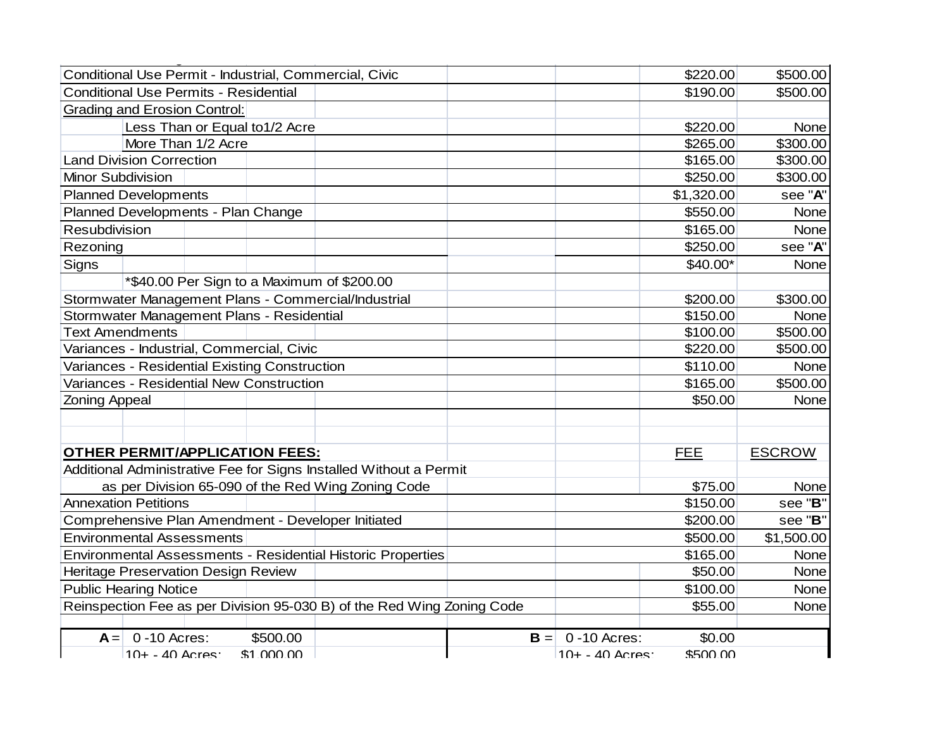| Conditional Use Permit - Industrial, Commercial, Civic                    |       |                  | \$220.00   | \$500.00      |
|---------------------------------------------------------------------------|-------|------------------|------------|---------------|
| <b>Conditional Use Permits - Residential</b>                              |       |                  | \$190.00   | \$500.00      |
| <b>Grading and Erosion Control:</b>                                       |       |                  |            |               |
| Less Than or Equal to1/2 Acre                                             |       |                  | \$220.00   | None          |
| More Than 1/2 Acre                                                        |       |                  | \$265.00   | \$300.00      |
| <b>Land Division Correction</b>                                           |       |                  | \$165.00   | \$300.00      |
| Minor Subdivision                                                         |       |                  | \$250.00   | \$300.00      |
| <b>Planned Developments</b>                                               |       |                  | \$1,320.00 | see "A"       |
| Planned Developments - Plan Change                                        |       |                  | \$550.00   | None          |
| Resubdivision                                                             |       |                  | \$165.00   | None          |
| Rezoning                                                                  |       |                  | \$250.00   | see "A"       |
| <b>Signs</b>                                                              |       |                  | $$40.00*$  | None          |
| *\$40.00 Per Sign to a Maximum of \$200.00                                |       |                  |            |               |
| Stormwater Management Plans - Commercial/Industrial                       |       |                  | \$200.00   | \$300.00      |
| Stormwater Management Plans - Residential                                 |       |                  | \$150.00   | None          |
| <b>Text Amendments</b>                                                    |       |                  | \$100.00   | \$500.00      |
| Variances - Industrial, Commercial, Civic                                 |       |                  | \$220.00   | \$500.00      |
| Variances - Residential Existing Construction                             |       |                  | \$110.00   | None          |
| Variances - Residential New Construction                                  |       |                  | \$165.00   | \$500.00      |
| <b>Zoning Appeal</b>                                                      |       |                  | \$50.00    | None          |
|                                                                           |       |                  |            |               |
|                                                                           |       |                  |            |               |
| <b>OTHER PERMIT/APPLICATION FEES:</b>                                     |       |                  | <b>FEE</b> | <b>ESCROW</b> |
| Additional Administrative Fee for Signs Installed Without a Permit        |       |                  |            |               |
| as per Division 65-090 of the Red Wing Zoning Code                        |       |                  | \$75.00    | None          |
| <b>Annexation Petitions</b>                                               |       |                  | \$150.00   | see "B"       |
| Comprehensive Plan Amendment - Developer Initiated                        |       |                  | \$200.00   | see "B"       |
| <b>Environmental Assessments</b>                                          |       |                  | \$500.00   | \$1,500.00    |
| Environmental Assessments - Residential Historic Properties               |       |                  | \$165.00   | None          |
| <b>Heritage Preservation Design Review</b>                                |       |                  | \$50.00    | None          |
| <b>Public Hearing Notice</b>                                              |       |                  | \$100.00   | None          |
| Reinspection Fee as per Division 95-030 B) of the Red Wing Zoning Code    |       |                  | \$55.00    | None          |
|                                                                           |       |                  |            |               |
| $A = \begin{bmatrix} 0 & -10 \\ 0 & -10 \end{bmatrix}$ Acres:<br>\$500.00 | $B =$ | 0 - 10 Acres:    | \$0.00     |               |
| \$1,000,00<br>$10+ - 40$ Acres                                            |       | $10+ - 40$ Acres | \$500.00   |               |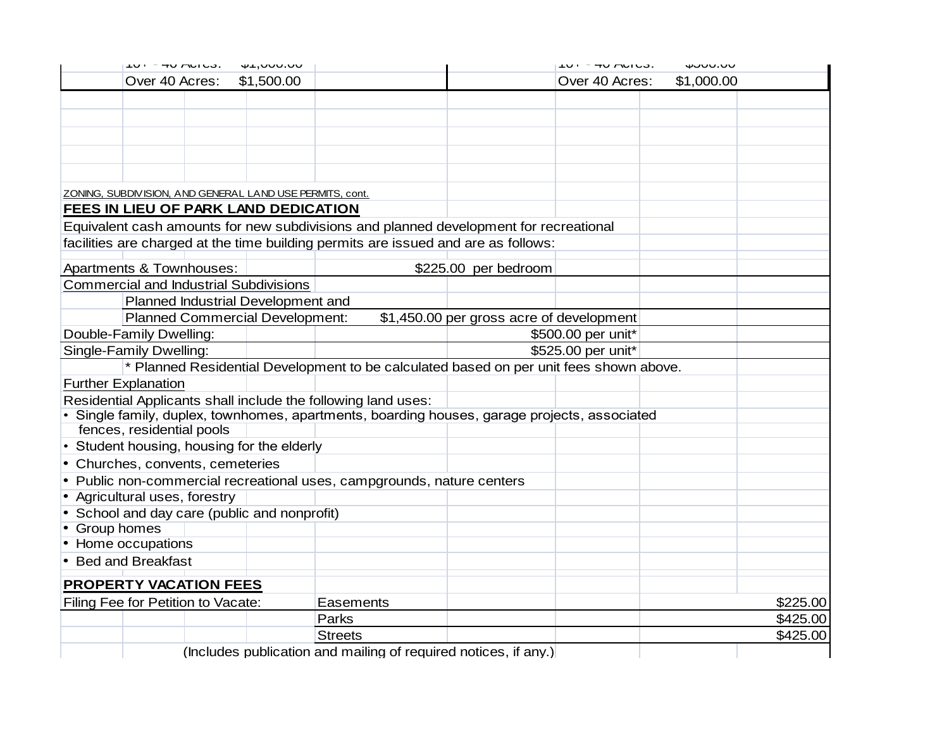| 41,000.00<br>$10T - 40$ $N100$ .<br>\$1,500.00<br>Over 40 Acres:                             |           |                                          | $10T - 40$ $N100$ .<br>Over 40 Acres: | www.oo<br>\$1,000.00 |
|----------------------------------------------------------------------------------------------|-----------|------------------------------------------|---------------------------------------|----------------------|
|                                                                                              |           |                                          |                                       |                      |
|                                                                                              |           |                                          |                                       |                      |
|                                                                                              |           |                                          |                                       |                      |
|                                                                                              |           |                                          |                                       |                      |
|                                                                                              |           |                                          |                                       |                      |
|                                                                                              |           |                                          |                                       |                      |
|                                                                                              |           |                                          |                                       |                      |
| ZONING, SUBDIVISION, AND GENERAL LAND USE PERMITS, cont.                                     |           |                                          |                                       |                      |
| FEES IN LIEU OF PARK LAND DEDICATION                                                         |           |                                          |                                       |                      |
| Equivalent cash amounts for new subdivisions and planned development for recreational        |           |                                          |                                       |                      |
| facilities are charged at the time building permits are issued and are as follows:           |           |                                          |                                       |                      |
| Apartments & Townhouses:                                                                     |           | \$225.00 per bedroom                     |                                       |                      |
| <b>Commercial and Industrial Subdivisions</b>                                                |           |                                          |                                       |                      |
| Planned Industrial Development and                                                           |           |                                          |                                       |                      |
| <b>Planned Commercial Development:</b>                                                       |           | \$1,450.00 per gross acre of development |                                       |                      |
| Double-Family Dwelling:                                                                      |           |                                          | \$500.00 per unit*                    |                      |
| Single-Family Dwelling:                                                                      |           |                                          | \$525.00 per unit*                    |                      |
| * Planned Residential Development to be calculated based on per unit fees shown above.       |           |                                          |                                       |                      |
| <b>Further Explanation</b>                                                                   |           |                                          |                                       |                      |
| Residential Applicants shall include the following land uses:                                |           |                                          |                                       |                      |
| · Single family, duplex, townhomes, apartments, boarding houses, garage projects, associated |           |                                          |                                       |                      |
| fences, residential pools                                                                    |           |                                          |                                       |                      |
| Student housing, housing for the elderly                                                     |           |                                          |                                       |                      |
| Churches, convents, cemeteries                                                               |           |                                          |                                       |                      |
| • Public non-commercial recreational uses, campgrounds, nature centers                       |           |                                          |                                       |                      |
| • Agricultural uses, forestry                                                                |           |                                          |                                       |                      |
| • School and day care (public and nonprofit)                                                 |           |                                          |                                       |                      |
| • Group homes                                                                                |           |                                          |                                       |                      |
| • Home occupations                                                                           |           |                                          |                                       |                      |
| • Bed and Breakfast                                                                          |           |                                          |                                       |                      |
| <b>PROPERTY VACATION FEES</b>                                                                |           |                                          |                                       |                      |
| Filing Fee for Petition to Vacate:                                                           | Easements |                                          |                                       | \$225.00             |
|                                                                                              |           |                                          |                                       | \$425.00             |
|                                                                                              | Parks     |                                          |                                       |                      |